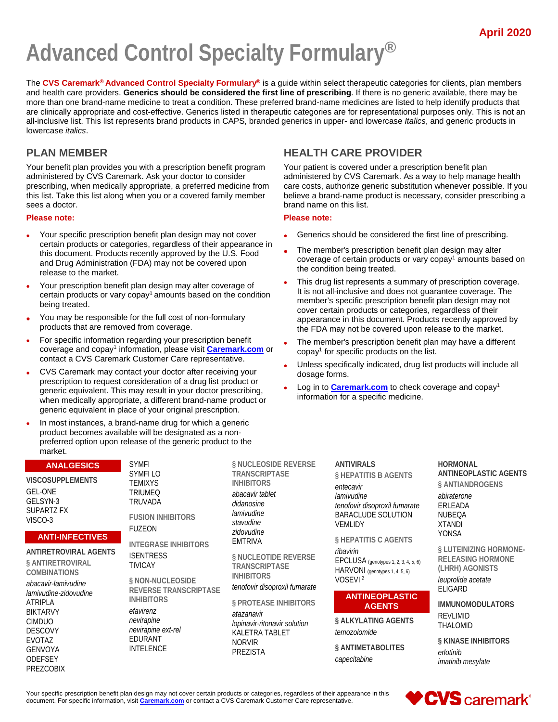# **Advanced Control Specialty Formulary®**

The **CVS Caremark® Advanced Control Specialty Formulary®** is a guide within select therapeutic categories for clients, plan members and health care providers. **Generics should be considered the first line of prescribing**. If there is no generic available, there may be more than one brand-name medicine to treat a condition. These preferred brand-name medicines are listed to help identify products that are clinically appropriate and cost-effective. Generics listed in therapeutic categories are for representational purposes only. This is not an all-inclusive list. This list represents brand products in CAPS, branded generics in upper- and lowercase *Italics*, and generic products in lowercase *italics*.

# **PLAN MEMBER**

Your benefit plan provides you with a prescription benefit program administered by CVS Caremark. Ask your doctor to consider prescribing, when medically appropriate, a preferred medicine from this list. Take this list along when you or a covered family member sees a doctor.

#### **Please note:**

- Your specific prescription benefit plan design may not cover certain products or categories, regardless of their appearance in this document. Products recently approved by the U.S. Food and Drug Administration (FDA) may not be covered upon release to the market.
- Your prescription benefit plan design may alter coverage of certain products or vary copay<sup>1</sup> amounts based on the condition being treated.
- You may be responsible for the full cost of non-formulary products that are removed from coverage.
- For specific information regarding your prescription benefit coverage and copay1 information, please visit **[Caremark.com](https://www.caremark.com/)** or contact a CVS Caremark Customer Care representative.
- CVS Caremark may contact your doctor after receiving your prescription to request consideration of a drug list product or generic equivalent. This may result in your doctor prescribing, when medically appropriate, a different brand-name product or generic equivalent in place of your original prescription.
- In most instances, a brand-name drug for which a generic product becomes available will be designated as a nonpreferred option upon release of the generic product to the market.

# **HEALTH CARE PROVIDER**

Your patient is covered under a prescription benefit plan administered by CVS Caremark. As a way to help manage health care costs, authorize generic substitution whenever possible. If you believe a brand-name product is necessary, consider prescribing a brand name on this list.

#### **Please note:**

- Generics should be considered the first line of prescribing.
- The member's prescription benefit plan design may alter coverage of certain products or vary copay $1$  amounts based on the condition being treated.
- This drug list represents a summary of prescription coverage. It is not all-inclusive and does not guarantee coverage. The member's specific prescription benefit plan design may not cover certain products or categories, regardless of their appearance in this document. Products recently approved by the FDA may not be covered upon release to the market.
- The member's prescription benefit plan may have a different  $\cos^1$  for specific products on the list.
- Unless specifically indicated, drug list products will include all dosage forms.
- Log in to **[Caremark.com](https://www.caremark.com/)** to check coverage and copay1 information for a specific medicine.

# **ANALGESICS**

**VISCOSUPPLEMENTS** GEL-ONE GELSYN-3 SUPARTZ FX VISCO-3

#### **ANTI-INFECTIVES**

**ANTIRETROVIRAL AGENTS § ANTIRETROVIRAL COMBINATIONS**

*abacavir-lamivudine lamivudine-zidovudine* ATRIPLA BIKTARVY CIMDUO DESCOVY EVOTAZ GENVOYA **ODEFSEY** PREZCOBIX

SYMFI SYMFI LO TEMIXYS TRIUMEQ TRUVADA

INTELENCE

**FUSION INHIBITORS** FUZEON

**INTEGRASE INHIBITORS ISENTRESS** TIVICAY

**§ NON-NUCLEOSIDE REVERSE TRANSCRIPTASE INHIBITORS** *efavirenz nevirapine nevirapine ext-rel* EDURANT

**§ NUCLEOSIDE REVERSE TRANSCRIPTASE INHIBITORS**

*abacavir tablet didanosine lamivudine stavudine zidovudine* EMTRIVA

**§ NUCLEOTIDE REVERSE TRANSCRIPTASE INHIBITORS**

*tenofovir disoproxil fumarate*

**§ PROTEASE INHIBITORS**

*atazanavir lopinavir-ritonavir solution* KALETRA TABLET NORVIR PREZISTA

**ANTIVIRALS § HEPATITIS B AGENTS** *entecavir lamivudine tenofovir disoproxil fumarate* BARACLUDE SOLUTION VEMLIDY

**§ HEPATITIS C AGENTS** *ribavirin*

EPCLUSA (genotypes 1, 2, 3, 4, 5, 6) HARVONI (genotypes 1, 4, 5, 6) VOSEVI<sup>2</sup>

#### **ANTINEOPLASTIC AGENTS**

**§ ALKYLATING AGENTS** *temozolomide*

**§ ANTIMETABOLITES** *capecitabine*

**HORMONAL ANTINEOPLASTIC AGENTS § ANTIANDROGENS**

*abiraterone* ERLEADA NUBEQA XTANDI YONSA

**§ LUTEINIZING HORMONE-RELEASING HORMONE (LHRH) AGONISTS** *leuprolide acetate* ELIGARD

**IMMUNOMODULATORS** REVLIMID THALOMID

**§ KINASE INHIBITORS** *erlotinib imatinib mesylate*

Your specific prescription benefit plan design may not cover certain products or categories, regardless of their appearance in this document. For specific information, visit **[Caremark.com](https://www.caremark.com/)** or contact a CVS Caremark Customer Care representative.

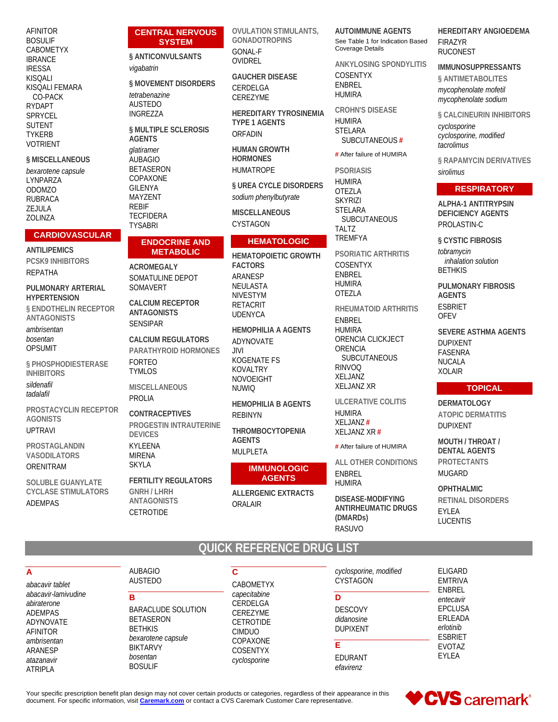| AFINITOR<br><b>BOSULIF</b><br>CABOMETYX                                  | <b>CENTRAL NERVOUS</b><br><b>SYSTEM</b><br>§ ANTICONVULSANTS                  | <b>OVULATION STIMULANTS,</b><br><b>GONADOTROPINS</b><br>GONAL-F                         | <b>AUTOIMMUNE AGENTS</b><br>See Table 1 for Indication Based<br><b>Coverage Details</b>   | <b>HEREDITARY ANGIOEDEMA</b><br><b>FIRAZYR</b><br><b>RUCONEST</b>                |
|--------------------------------------------------------------------------|-------------------------------------------------------------------------------|-----------------------------------------------------------------------------------------|-------------------------------------------------------------------------------------------|----------------------------------------------------------------------------------|
| <b>IBRANCE</b><br><b>IRESSA</b>                                          | vigabatrin                                                                    | OVIDREL                                                                                 | <b>ANKYLOSING SPONDYLITIS</b>                                                             | <b>IMMUNOSUPPRESSANTS</b>                                                        |
| <b>KISQALI</b><br>KISOALI FEMARA<br>CO-PACK<br><b>RYDAPT</b>             | § MOVEMENT DISORDERS<br>tetrabenazine<br><b>AUSTEDO</b>                       | <b>GAUCHER DISEASE</b><br>CERDELGA<br>CEREZYME                                          | <b>COSENTYX</b><br><b>ENBREL</b><br><b>HUMIRA</b>                                         | § ANTIMETABOLITES<br>mycophenolate mofetil<br>mycophenolate sodium               |
| SPRYCEL<br><b>SUTENT</b><br><b>TYKERB</b><br><b>VOTRIENT</b>             | <b>INGREZZA</b><br>§ MULTIPLE SCLEROSIS<br><b>AGENTS</b><br>qlatiramer        | <b>HEREDITARY TYROSINEMIA</b><br><b>TYPE 1 AGENTS</b><br>ORFADIN<br><b>HUMAN GROWTH</b> | <b>CROHN'S DISEASE</b><br><b>HUMIRA</b><br><b>STELARA</b><br>SUBCUTANEOUS#                | § CALCINEURIN INHIBITORS<br>cyclosporine<br>cyclosporine, modified<br>tacrolimus |
| § MISCELLANEOUS                                                          | <b>AUBAGIO</b>                                                                | <b>HORMONES</b>                                                                         | # After failure of HUMIRA                                                                 | § RAPAMYCIN DERIVATIVES                                                          |
| bexarotene capsule<br>LYNPARZA                                           | <b>BETASERON</b><br>COPAXONE                                                  | <b>HUMATROPE</b>                                                                        | <b>PSORIASIS</b>                                                                          | sirolimus                                                                        |
| <b>ODOMZO</b>                                                            | <b>GILENYA</b>                                                                | § UREA CYCLE DISORDERS                                                                  | <b>HUMIRA</b><br><b>OTEZLA</b>                                                            | <b>RESPIRATORY</b>                                                               |
| <b>RUBRACA</b><br>ZEJULA<br>ZOLINZA                                      | MAYZENT<br><b>REBIF</b><br><b>TECFIDERA</b><br><b>TYSABRI</b>                 | sodium phenylbutyrate<br><b>MISCELLANEOUS</b><br><b>CYSTAGON</b>                        | <b>SKYRIZI</b><br><b>STELARA</b><br><b>SUBCUTANEOUS</b>                                   | <b>ALPHA-1 ANTITRYPSIN</b><br><b>DEFICIENCY AGENTS</b><br>PROLASTIN-C            |
| <b>CARDIOVASCULAR</b>                                                    | <b>ENDOCRINE AND</b>                                                          | <b>HEMATOLOGIC</b>                                                                      | <b>TALTZ</b><br><b>TREMFYA</b>                                                            | § CYSTIC FIBROSIS                                                                |
| <b>ANTILIPEMICS</b><br><b>PCSK9 INHIBITORS</b><br>REPATHA                | <b>METABOLIC</b><br><b>ACROMEGALY</b>                                         | <b>HEMATOPOIETIC GROWTH</b><br><b>FACTORS</b><br>ARANESP                                | <b>PSORIATIC ARTHRITIS</b><br><b>COSENTYX</b><br><b>ENBREL</b>                            | tobramycin<br>inhalation solution<br><b>BETHKIS</b>                              |
| PULMONARY ARTERIAL<br><b>HYPERTENSION</b>                                | SOMATULINE DEPOT<br>SOMAVERT<br><b>CALCIUM RECEPTOR</b>                       | NEULASTA<br><b>NIVESTYM</b>                                                             | <b>HUMIRA</b><br>OTEZLA                                                                   | <b>PULMONARY FIBROSIS</b><br><b>AGENTS</b>                                       |
| § ENDOTHELIN RECEPTOR<br><b>ANTAGONISTS</b>                              | <b>ANTAGONISTS</b><br><b>SENSIPAR</b>                                         | <b>RETACRIT</b><br><b>UDENYCA</b>                                                       | RHEUMATOID ARTHRITIS<br>ENBREL                                                            | <b>ESBRIET</b><br><b>OFEV</b>                                                    |
| ambrisentan<br>bosentan<br><b>OPSUMIT</b>                                | <b>CALCIUM REGULATORS</b><br>PARATHYROID HORMONES                             | <b>HEMOPHILIA A AGENTS</b><br>ADYNOVATE<br>JIVIL                                        | <b>HUMIRA</b><br>ORENCIA CLICKJECT<br>ORENCIA                                             | <b>SEVERE ASTHMA AGENTS</b><br><b>DUPIXENT</b><br><b>FASENRA</b>                 |
| § PHOSPHODIESTERASE<br><b>INHIBITORS</b>                                 | <b>FORTEO</b><br><b>TYMLOS</b>                                                | KOGENATE FS<br>KOVALTRY<br><b>NOVOEIGHT</b>                                             | SUBCUTANEOUS<br><b>RINVOQ</b><br>XELJANZ                                                  | <b>NUCALA</b><br><b>XOLAIR</b>                                                   |
| sildenafil<br>tadalafil                                                  | <b>MISCELLANEOUS</b>                                                          | <b>NUWIQ</b>                                                                            | <b>XELJANZ XR</b>                                                                         | <b>TOPICAL</b>                                                                   |
| PROSTACYCLIN RECEPTOR<br><b>AGONISTS</b><br><b>UPTRAVI</b>               | <b>PROLIA</b><br><b>CONTRACEPTIVES</b><br><b>PROGESTIN INTRAUTERINE</b>       | <b>HEMOPHILIA B AGENTS</b><br><b>REBINYN</b><br>THROMBOCYTOPENIA                        | ULCERATIVE COLITIS<br><b>HUMIRA</b><br>XELJANZ#<br>XELJANZ XR#                            | <b>DERMATOLOGY</b><br><b>ATOPIC DERMATITIS</b><br><b>DUPIXENT</b>                |
| PROSTAGLANDIN                                                            | <b>DEVICES</b><br>KYLEENA<br><b>MIRENA</b>                                    | <b>AGENTS</b><br>MULPLETA                                                               | # After failure of HUMIRA                                                                 | <b>MOUTH / THROAT /</b><br><b>DENTAL AGENTS</b>                                  |
| <b>VASODILATORS</b><br>ORENITRAM                                         | <b>SKYLA</b>                                                                  | <b>IMMUNOLOGIC</b>                                                                      | ALL OTHER CONDITIONS<br>ENBREL                                                            | <b>PROTECTANTS</b><br><b>MUGARD</b>                                              |
| <b>SOLUBLE GUANYLATE</b><br><b>CYCLASE STIMULATORS</b><br><b>ADEMPAS</b> | <b>FERTILITY REGULATORS</b><br><b>GNRH / LHRH</b><br>ANTAGONISTS<br>CETROTIDE | <b>AGENTS</b><br><b>ALLERGENIC EXTRACTS</b><br>ORALAIR                                  | <b>HUMIRA</b><br>DISEASE-MODIFYING<br><b>ANTIRHEUMATIC DRUGS</b><br>(DMARD <sub>S</sub> ) | <b>OPHTHALMIC</b><br>RETINAL DISORDERS<br>EYLEA<br><b>LUCENTIS</b>               |

### $\overline{A}$

abacavir tablet abacavir-lamivudine abiraterone ADEMPAS ADYNOVATE AFINITOR ambrisentan ARANESP atazanavir **ATRIPLA** 

#### **AUBAGIO AUSTEDO**

 $\overline{\mathbf{B}}$ **BARACLUDE SOLUTION BETASERON BETHKIS** bexarotene capsule **BIKTARVY** bosentan **BOSULIF** 

 $\overline{\mathsf{c}}$ CABOMETYX capecitabine CERDELGA CEREZYME CETROTIDE CIMDUO COPAXONE COSENTYX cyclosporine

cyclosporine, modified CYSTAGON D **DESCOVY** didanosine **DUPIXENT** E EDURANT efavirenz

ELIGARD **EMTRIVA** ENBREL entecavir **EPCLUSA** ERLEADA erlotinib **ESBRIET** EVOTAZ EYLEA

Your specific prescription benefit plan design may not cover certain products or categories, regardless of their appearance in this document. For specific information, visit *Caremark.com* or contact a CVS Caremark Custome

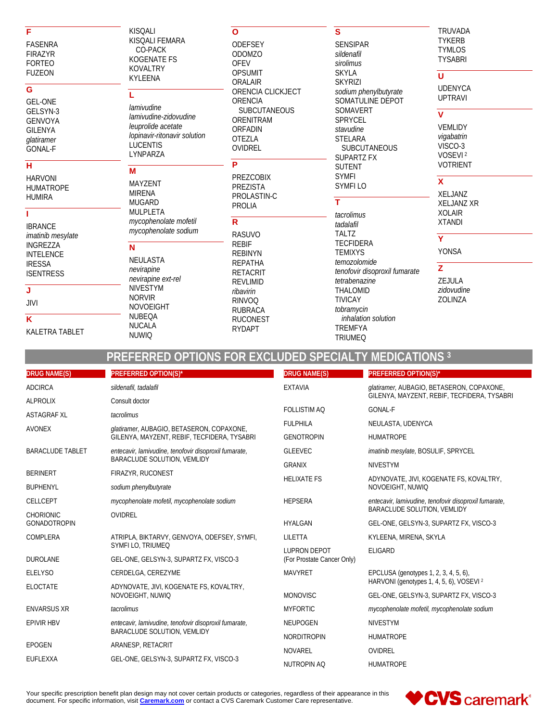#### F

**FASENRA FIRAZYR FORTEO FUZEON** 

#### G

**GEL-ONE** GELSYN-3 **GENVOYA GILENYA** glatiramer GONAL-F

### $\overline{\mathsf{H}}$

**HARVONI HUMATROPE HUMIRA** 

# ī

**IBRANCE** imatinib mesylate **INGREZZA INTELENCE IRESSA ISENTRESS** 

# J

**JIVI**  $\overline{\mathsf{K}}$ 

# KALETRA TABLET

KISQALI KISQALI FEMARA CO-PACK **KOGENATE FS** KOVALTRY **KYLEENA** 

#### L

lamivudine lamivudine-zidovudine leuprolide acetate lopinavir-ritonavir solution **LUCENTIS** LYNPARZA

### M

MAYZENT **MIRENA MUGARD** MULPLETA mycophenolate mofetil mycophenolate sodium

#### $\overline{\mathsf{N}}$

**NUWIQ** 

NEULASTA nevirapine nevirapine ext-rel NIVESTYM **NORVIR NOVOEIGHT NUBEQA NUCALA** 

#### $\mathbf{o}$

**ODEFSEY ODOMZO OFEV OPSUMIT** ORALAIR ORENCIA CLICKJECT ORENCIA SUBCUTANEOUS ORENITRAM **ORFADIN OTEZLA** OVIDREL  $\overline{\mathsf{P}}$ 

PREZCOBIX **PREZISTA** PROLASTIN-C **PROLIA** 

 $\overline{\mathsf{R}}$ **RASUVO REBIF REBINYN RFPATHA RETACRIT REVLIMID** ribavirin **RINVOQ RUBRACA RUCONEST RYDAPT** 

### $\mathbf{s}$

**SENSIPAR** sildenafil sirolimus **SKYLA SKYRIZI** sodium phenylbutyrate SOMATULINE DEPOT SOMAVERT SPRYCEL stavudine **STELARA SUBCUTANEOUS SUPARTZ FX SUTENT SYMFI SYMFILO** 

 $\overline{\mathsf{r}}$ tacrolimus tadalafil **TALTZ TECFIDERA TEMIXYS** temozolomide tenofovir disoproxil fumarate tetrabenazine THALOMID **TIVICAY** tobramycin inhalation solution **TREMFYA TRIUMEQ** 

#### TRUVADA **TYKERB TYMLOS TYSABRI**

# $\overline{u}$

 $\overline{\mathbf{v}}$ 

**UDENYCA UPTRAVI** 

VEMLIDY vigabatrin VISCO-3 VOSEVI<sup>2</sup> **VOTRIENT** 

# $\overline{\mathbf{x}}$

XELJANZ **XELJANZ XR XOLAIR XTANDI** 

#### Ÿ **YONSA**

 $\overline{z}$ ZEJULA zidovudine **ZOLINZA** 

# PREFERRED OPTIONS FOR EXCLUDED SPECIALTY MEDICATIONS 3

| <b>DRUG NAME(S)</b>     | PREFERRED OPTION(S)*                                                                     | <b>DRUG NAME(S)</b>        | <b>PREFERRED OPTION(S)*</b>                                                          |
|-------------------------|------------------------------------------------------------------------------------------|----------------------------|--------------------------------------------------------------------------------------|
| <b>ADCIRCA</b>          | sildenafil, tadalafil                                                                    | <b>EXTAVIA</b>             | glatiramer, AUBAGIO, BETASERON, COPAXONE,                                            |
| <b>ALPROLIX</b>         | Consult doctor                                                                           |                            | GILENYA, MAYZENT, REBIF, TECFIDERA, TYSABRI                                          |
| <b>ASTAGRAF XL</b>      | tacrolimus                                                                               | <b>FOLLISTIM AQ</b>        | <b>GONAL-F</b>                                                                       |
| <b>AVONEX</b>           | glatiramer, AUBAGIO, BETASERON, COPAXONE,<br>GILENYA, MAYZENT, REBIF, TECFIDERA, TYSABRI | <b>FULPHILA</b>            | NEULASTA, UDENYCA                                                                    |
|                         |                                                                                          | <b>GENOTROPIN</b>          | <b>HUMATROPE</b>                                                                     |
| <b>BARACLUDE TABLET</b> | entecavir, lamivudine, tenofovir disoproxil fumarate,                                    | <b>GLEEVEC</b>             | imatinib mesylate, BOSULIF, SPRYCEL                                                  |
|                         | <b>BARACLUDE SOLUTION, VEMLIDY</b>                                                       | <b>GRANIX</b>              | <b>NIVESTYM</b>                                                                      |
| <b>BERINERT</b>         | FIRAZYR, RUCONEST                                                                        | <b>HELIXATE FS</b>         | ADYNOVATE, JIVI, KOGENATE FS, KOVALTRY,<br>NOVOEIGHT, NUWIQ                          |
| <b>BUPHENYL</b>         | sodium phenylbutyrate                                                                    |                            |                                                                                      |
| CELLCEPT                | mycophenolate mofetil, mycophenolate sodium                                              | <b>HEPSERA</b>             | entecavir, lamivudine, tenofovir disoproxil fumarate,<br>BARACLUDE SOLUTION, VEMLIDY |
| <b>CHORIONIC</b>        | <b>OVIDREL</b>                                                                           | <b>HYALGAN</b>             |                                                                                      |
| <b>GONADOTROPIN</b>     |                                                                                          |                            | GEL-ONE, GELSYN-3, SUPARTZ FX, VISCO-3                                               |
| COMPLERA                | ATRIPLA, BIKTARVY, GENVOYA, ODEFSEY, SYMFI,<br>SYMFI LO, TRIUMEQ                         | LILETTA                    | KYLEENA, MIRENA, SKYLA                                                               |
| <b>DUROLANE</b>         | GEL-ONE, GELSYN-3, SUPARTZ FX, VISCO-3                                                   | <b>LUPRON DEPOT</b>        | <b>ELIGARD</b>                                                                       |
|                         |                                                                                          | (For Prostate Cancer Only) |                                                                                      |
| <b>ELELYSO</b>          | CERDELGA, CEREZYME                                                                       | <b>MAVYRET</b>             | EPCLUSA (genotypes 1, 2, 3, 4, 5, 6),<br>HARVONI (genotypes 1, 4, 5, 6), VOSEVI 2    |
| <b>ELOCTATE</b>         | ADYNOVATE, JIVI, KOGENATE FS, KOVALTRY,<br>NOVOEIGHT, NUWIQ                              | <b>MONOVISC</b>            | GEL-ONE, GELSYN-3, SUPARTZ FX, VISCO-3                                               |
| <b>ENVARSUS XR</b>      | tacrolimus                                                                               | <b>MYFORTIC</b>            | mycophenolate mofetil, mycophenolate sodium                                          |
| <b>EPIVIR HBV</b>       | entecavir, lamivudine, tenofovir disoproxil fumarate,                                    | <b>NEUPOGEN</b>            | <b>NIVESTYM</b>                                                                      |
|                         | BARACLUDE SOLUTION, VEMLIDY                                                              | <b>NORDITROPIN</b>         | <b>HUMATROPE</b>                                                                     |
| <b>EPOGEN</b>           | ARANESP, RETACRIT                                                                        | <b>NOVAREL</b>             | OVIDREL                                                                              |
| EUFLEXXA                | GEL-ONE, GELSYN-3, SUPARTZ FX, VISCO-3                                                   |                            |                                                                                      |
|                         |                                                                                          | <b>NUTROPIN AQ</b>         | <b>HUMATROPE</b>                                                                     |

Your specific prescription benefit plan design may not cover certain products or categories, regardless of their appearance in this document. For specific information, visit Caremark.com or contact a CVS Caremark Customer Care representative.

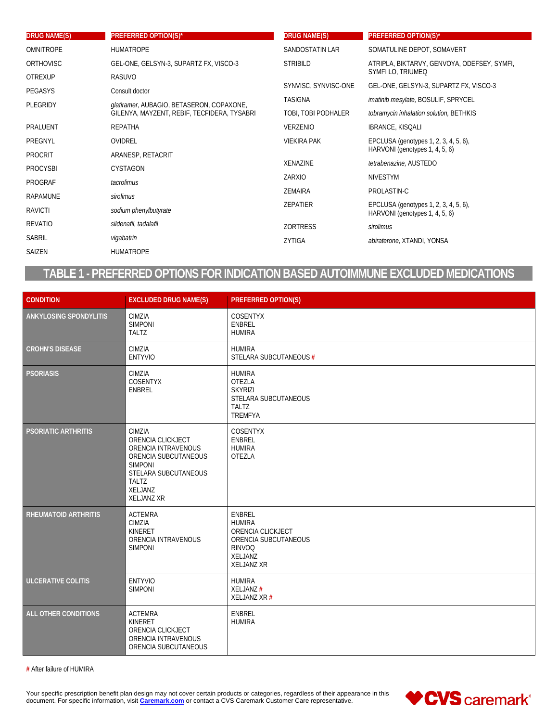| <b>DRUG NAME(S)</b> | <b>PREFERRED OPTION(S)*</b>                 | <b>DRUG NAME(S)</b>  | <b>PREFERRED OPTION(S)*</b>                                             |
|---------------------|---------------------------------------------|----------------------|-------------------------------------------------------------------------|
| <b>OMNITROPE</b>    | <b>HUMATROPE</b>                            | SANDOSTATIN LAR      | SOMATULINE DEPOT, SOMAVERT                                              |
| <b>ORTHOVISC</b>    | GEL-ONE, GELSYN-3, SUPARTZ FX, VISCO-3      | <b>STRIBILD</b>      | ATRIPLA, BIKTARVY, GENVOYA, ODEFSEY, SYMFI,                             |
| <b>OTREXUP</b>      | <b>RASUVO</b>                               |                      | SYMFILO, TRIUMEQ                                                        |
| <b>PEGASYS</b>      | Consult doctor                              | SYNVISC, SYNVISC-ONE | GEL-ONE, GELSYN-3, SUPARTZ FX, VISCO-3                                  |
| PLEGRIDY            | glatiramer, AUBAGIO, BETASERON, COPAXONE,   | <b>TASIGNA</b>       | imatinib mesylate, BOSULIF, SPRYCEL                                     |
|                     | GILENYA, MAYZENT, REBIF, TECFIDERA, TYSABRI | TOBI, TOBI PODHALER  | tobramycin inhalation solution, BETHKIS                                 |
| PRALUENT            | <b>REPATHA</b>                              | VERZENIO             | <b>IBRANCE, KISQALI</b>                                                 |
| PREGNYL             | OVIDREL                                     | <b>VIEKIRA PAK</b>   | EPCLUSA (genotypes 1, 2, 3, 4, 5, 6),                                   |
| <b>PROCRIT</b>      | ARANESP, RETACRIT                           |                      | HARVONI (genotypes 1, 4, 5, 6)                                          |
| <b>PROCYSBI</b>     | <b>CYSTAGON</b>                             | <b>XENAZINE</b>      | tetrabenazine, AUSTEDO                                                  |
| <b>PROGRAF</b>      | tacrolimus                                  | ZARXIO               | <b>NIVESTYM</b>                                                         |
| RAPAMUNE            | sirolimus                                   | <b>ZEMAIRA</b>       | PROLASTIN-C                                                             |
|                     |                                             | ZEPATIER             | EPCLUSA (genotypes 1, 2, 3, 4, 5, 6),<br>HARVONI (genotypes 1, 4, 5, 6) |
| RAVICTI             | sodium phenylbutyrate                       |                      |                                                                         |
| REVATIO             | sildenafil, tadalafil                       | <b>ZORTRESS</b>      | sirolimus                                                               |
| SABRIL              | vigabatrin                                  | ZYTIGA               | abiraterone, XTANDI, YONSA                                              |
| SAIZEN              | <b>HUMATROPE</b>                            |                      |                                                                         |
|                     |                                             |                      |                                                                         |

# TABLE 1 - PREFERRED OPTIONS FOR INDICATION BASED AUTOIMMUNE EXCLUDED MEDICATIONS

| <b>CONDITION</b>            | <b>EXCLUDED DRUG NAME(S)</b>                                                                                                                                         | <b>PREFERRED OPTION(S)</b>                                                                                                   |
|-----------------------------|----------------------------------------------------------------------------------------------------------------------------------------------------------------------|------------------------------------------------------------------------------------------------------------------------------|
| ANKYLOSING SPONDYLITIS      | CIMZIA<br><b>SIMPONI</b><br><b>TALTZ</b>                                                                                                                             | <b>COSENTYX</b><br>ENBREL<br><b>HUMIRA</b>                                                                                   |
| <b>CROHN'S DISEASE</b>      | CIMZIA<br><b>ENTYVIO</b>                                                                                                                                             | <b>HUMIRA</b><br>STELARA SUBCUTANEOUS #                                                                                      |
| <b>PSORIASIS</b>            | CIMZIA<br>COSENTYX<br><b>ENBREL</b>                                                                                                                                  | <b>HUMIRA</b><br>OTEZLA<br><b>SKYRIZI</b><br>STELARA SUBCUTANEOUS<br><b>TALTZ</b><br>TREMFYA                                 |
| <b>PSORIATIC ARTHRITIS</b>  | CIMZIA<br>ORENCIA CLICKJECT<br>ORENCIA INTRAVENOUS<br>ORENCIA SUBCUTANEOUS<br><b>SIMPONI</b><br>STELARA SUBCUTANEOUS<br><b>TALTZ</b><br>XELJANZ<br><b>XELJANZ XR</b> | <b>COSENTYX</b><br><b>ENBREL</b><br><b>HUMIRA</b><br>OTEZLA                                                                  |
| <b>RHEUMATOID ARTHRITIS</b> | <b>ACTEMRA</b><br>CIMZIA<br>KINERET<br>ORENCIA INTRAVENOUS<br><b>SIMPONI</b>                                                                                         | <b>ENBREL</b><br><b>HUMIRA</b><br>ORENCIA CLICKJECT<br>ORENCIA SUBCUTANEOUS<br><b>RINVOQ</b><br>XELJANZ<br><b>XELJANZ XR</b> |
| <b>ULCERATIVE COLITIS</b>   | <b>ENTYVIO</b><br><b>SIMPONI</b>                                                                                                                                     | <b>HUMIRA</b><br>XELJANZ#<br>XELJANZ XR #                                                                                    |
| ALL OTHER CONDITIONS        | <b>ACTEMRA</b><br>KINERET<br>ORENCIA CLICKJECT<br>ORENCIA INTRAVENOUS<br>ORENCIA SUBCUTANEOUS                                                                        | <b>ENBREL</b><br><b>HUMIRA</b>                                                                                               |

# After failure of HUMIRA

Your specific prescription benefit plan design may not cover certain products or categories, regardless of their appearance in this document. For specific information, visit *Caremark.com* or contact a CVS Caremark Custome